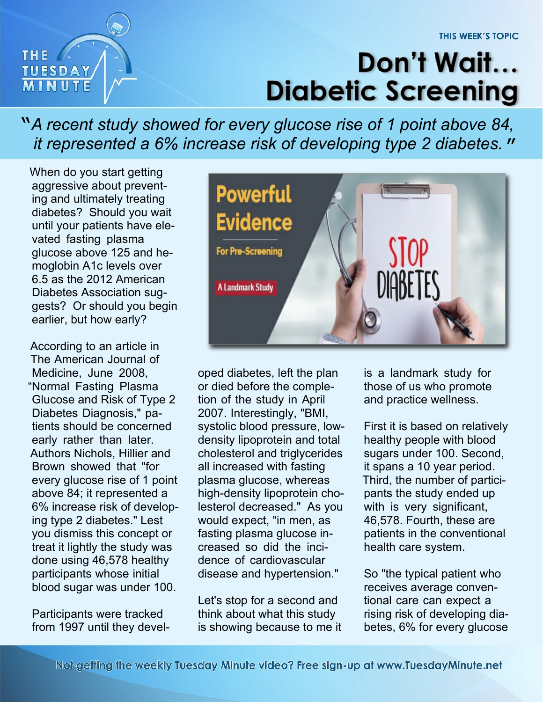## THE / **TUESDAY**

## Don't Wait... **Diabetic Screening**

*A recent study showed for every glucose rise of 1 point above 84,* " *it represented a 6% increase risk of developing type 2 diabetes.* "

When do you start getting aggressive about preventing and ultimately treating diabetes? Should you wait until your patients have elevated fasting plasma glucose above 125 and hemoglobin A1c levels over 6.5 as the 2012 American Diabetes Association suggests? Or should you begin earlier, but how early?

According to an article in The American Journal of Medicine, June 2008, "Normal Fasting Plasma Glucose and Risk of Type 2 Diabetes Diagnosis," patients should be concerned early rather than later. Authors Nichols, Hillier and Brown showed that "for every glucose rise of 1 point above 84; it represented a 6% increase risk of developing type 2 diabetes." Lest you dismiss this concept or treat it lightly the study was done using 46,578 healthy participants whose initial blood sugar was under 100.

Participants were tracked from 1997 until they devel-



oped diabetes, left the plan or died before the completion of the study in April 2007. Interestingly, "BMI, systolic blood pressure, lowdensity lipoprotein and total cholesterol and triglycerides all increased with fasting plasma glucose, whereas high-density lipoprotein cholesterol decreased." As you would expect, "in men, as fasting plasma glucose increased so did the incidence of cardiovascular disease and hypertension."

Let's stop for a second and think about what this study is showing because to me it is a landmark study for those of us who promote and practice wellness.

First it is based on relatively healthy people with blood sugars under 100. Second, it spans a 10 year period. Third, the number of participants the study ended up with is very significant, 46,578. Fourth, these are patients in the conventional health care system.

So "the typical patient who receives average conventional care can expect a rising risk of developing diabetes, 6% for every glucose